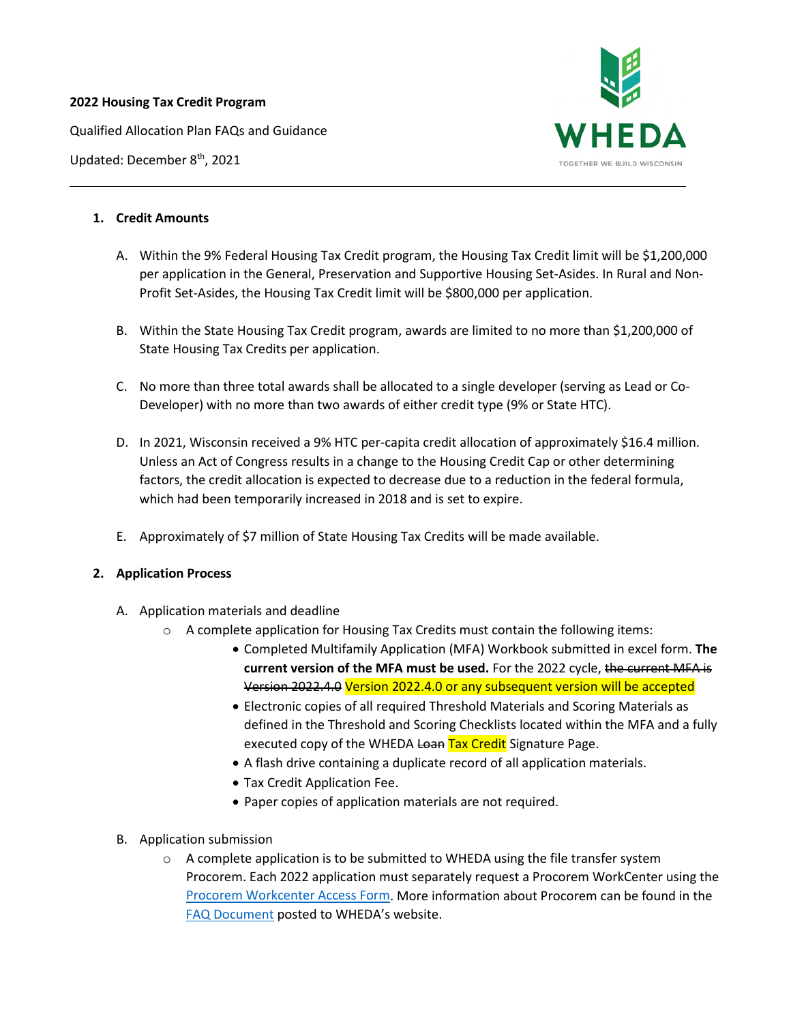#### **2022 Housing Tax Credit Program**

Qualified Allocation Plan FAQs and Guidance





#### **1. Credit Amounts**

- A. Within the 9% Federal Housing Tax Credit program, the Housing Tax Credit limit will be \$1,200,000 per application in the General, Preservation and Supportive Housing Set-Asides. In Rural and Non-Profit Set-Asides, the Housing Tax Credit limit will be \$800,000 per application.
- B. Within the State Housing Tax Credit program, awards are limited to no more than \$1,200,000 of State Housing Tax Credits per application.
- C. No more than three total awards shall be allocated to a single developer (serving as Lead or Co-Developer) with no more than two awards of either credit type (9% or State HTC).
- D. In 2021, Wisconsin received a 9% HTC per-capita credit allocation of approximately \$16.4 million. Unless an Act of Congress results in a change to the Housing Credit Cap or other determining factors, the credit allocation is expected to decrease due to a reduction in the federal formula, which had been temporarily increased in 2018 and is set to expire.
- E. Approximately of \$7 million of State Housing Tax Credits will be made available.

# **2. Application Process**

- A. Application materials and deadline
	- $\circ$  A complete application for Housing Tax Credits must contain the following items:
		- Completed Multifamily Application (MFA) Workbook submitted in excel form. **The current version of the MFA must be used.** For the 2022 cycle, the current MFA is Version 2022.4.0 Version 2022.4.0 or any subsequent version will be accepted
		- Electronic copies of all required Threshold Materials and Scoring Materials as defined in the Threshold and Scoring Checklists located within the MFA and a fully executed copy of the WHEDA Loan Tax Credit Signature Page.
		- A flash drive containing a duplicate record of all application materials.
		- Tax Credit Application Fee.
		- Paper copies of application materials are not required.
- B. Application submission
	- $\circ$  A complete application is to be submitted to WHEDA using the file transfer system Procorem. Each 2022 application must separately request a Procorem WorkCenter using the [Procorem Workcenter Access Form.](https://www.wheda.com/globalassets/documents/tax-credits/htc/2022/procorem-workcenter-access-form.pdf) More information about Procorem can be found in the [FAQ Document](https://www.wheda.com/globalassets/documents/tax-credits/procorem-faq.pdf) posted to WHEDA's website.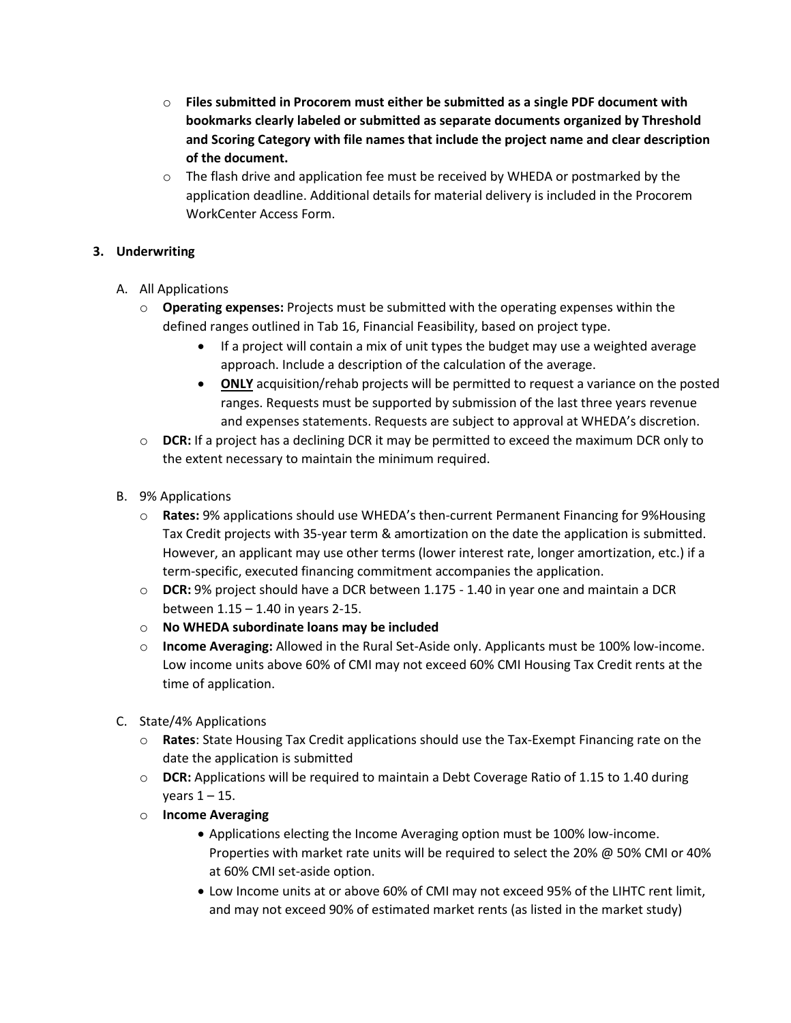- o **Files submitted in Procorem must either be submitted as a single PDF document with bookmarks clearly labeled or submitted as separate documents organized by Threshold and Scoring Category with file names that include the project name and clear description of the document.**
- $\circ$  The flash drive and application fee must be received by WHEDA or postmarked by the application deadline. Additional details for material delivery is included in the Procorem WorkCenter Access Form.

# **3. Underwriting**

# A. All Applications

- o **Operating expenses:** Projects must be submitted with the operating expenses within the defined ranges outlined in Tab 16, Financial Feasibility, based on project type.
	- If a project will contain a mix of unit types the budget may use a weighted average approach. Include a description of the calculation of the average.
	- **ONLY** acquisition/rehab projects will be permitted to request a variance on the posted ranges. Requests must be supported by submission of the last three years revenue and expenses statements. Requests are subject to approval at WHEDA's discretion.
- o **DCR:** If a project has a declining DCR it may be permitted to exceed the maximum DCR only to the extent necessary to maintain the minimum required.
- B. 9% Applications
	- o **Rates:** 9% applications should use WHEDA's then-current Permanent Financing for 9%Housing Tax Credit projects with 35-year term & amortization on the date the application is submitted. However, an applicant may use other terms (lower interest rate, longer amortization, etc.) if a term-specific, executed financing commitment accompanies the application.
	- o **DCR:** 9% project should have a DCR between 1.175 1.40 in year one and maintain a DCR between 1.15 – 1.40 in years 2-15.
	- o **No WHEDA subordinate loans may be included**
	- o **Income Averaging:** Allowed in the Rural Set-Aside only. Applicants must be 100% low-income. Low income units above 60% of CMI may not exceed 60% CMI Housing Tax Credit rents at the time of application.
- C. State/4% Applications
	- o **Rates**: State Housing Tax Credit applications should use the Tax-Exempt Financing rate on the date the application is submitted
	- o **DCR:** Applications will be required to maintain a Debt Coverage Ratio of 1.15 to 1.40 during years  $1 - 15$ .
	- o **Income Averaging**
		- Applications electing the Income Averaging option must be 100% low-income. Properties with market rate units will be required to select the 20% @ 50% CMI or 40% at 60% CMI set-aside option.
		- Low Income units at or above 60% of CMI may not exceed 95% of the LIHTC rent limit, and may not exceed 90% of estimated market rents (as listed in the market study)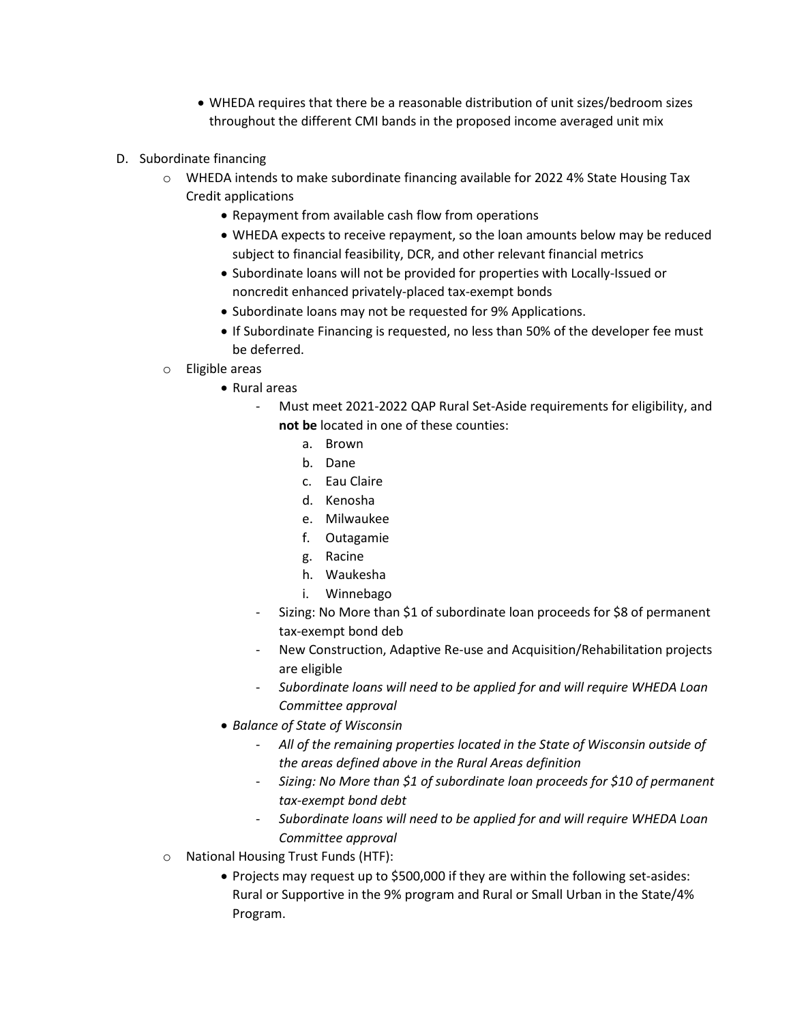- WHEDA requires that there be a reasonable distribution of unit sizes/bedroom sizes throughout the different CMI bands in the proposed income averaged unit mix
- D. Subordinate financing
	- o WHEDA intends to make subordinate financing available for 2022 4% State Housing Tax Credit applications
		- Repayment from available cash flow from operations
		- WHEDA expects to receive repayment, so the loan amounts below may be reduced subject to financial feasibility, DCR, and other relevant financial metrics
		- Subordinate loans will not be provided for properties with Locally-Issued or noncredit enhanced privately-placed tax-exempt bonds
		- Subordinate loans may not be requested for 9% Applications.
		- If Subordinate Financing is requested, no less than 50% of the developer fee must be deferred.
	- o Eligible areas
		- Rural areas
			- Must meet 2021-2022 QAP Rural Set-Aside requirements for eligibility, and **not be** located in one of these counties:
				- a. Brown
				- b. Dane
				- c. Eau Claire
				- d. Kenosha
				- e. Milwaukee
				- f. Outagamie
				- g. Racine
				- h. Waukesha
				- i. Winnebago
			- Sizing: No More than \$1 of subordinate loan proceeds for \$8 of permanent tax-exempt bond deb
			- New Construction, Adaptive Re-use and Acquisition/Rehabilitation projects are eligible
			- *Subordinate loans will need to be applied for and will require WHEDA Loan Committee approval*
		- *Balance of State of Wisconsin*
			- *All of the remaining properties located in the State of Wisconsin outside of the areas defined above in the Rural Areas definition*
			- *Sizing: No More than \$1 of subordinate loan proceeds for \$10 of permanent tax‐exempt bond debt*
			- *Subordinate loans will need to be applied for and will require WHEDA Loan Committee approval*
	- o National Housing Trust Funds (HTF):
		- Projects may request up to \$500,000 if they are within the following set-asides: Rural or Supportive in the 9% program and Rural or Small Urban in the State/4% Program.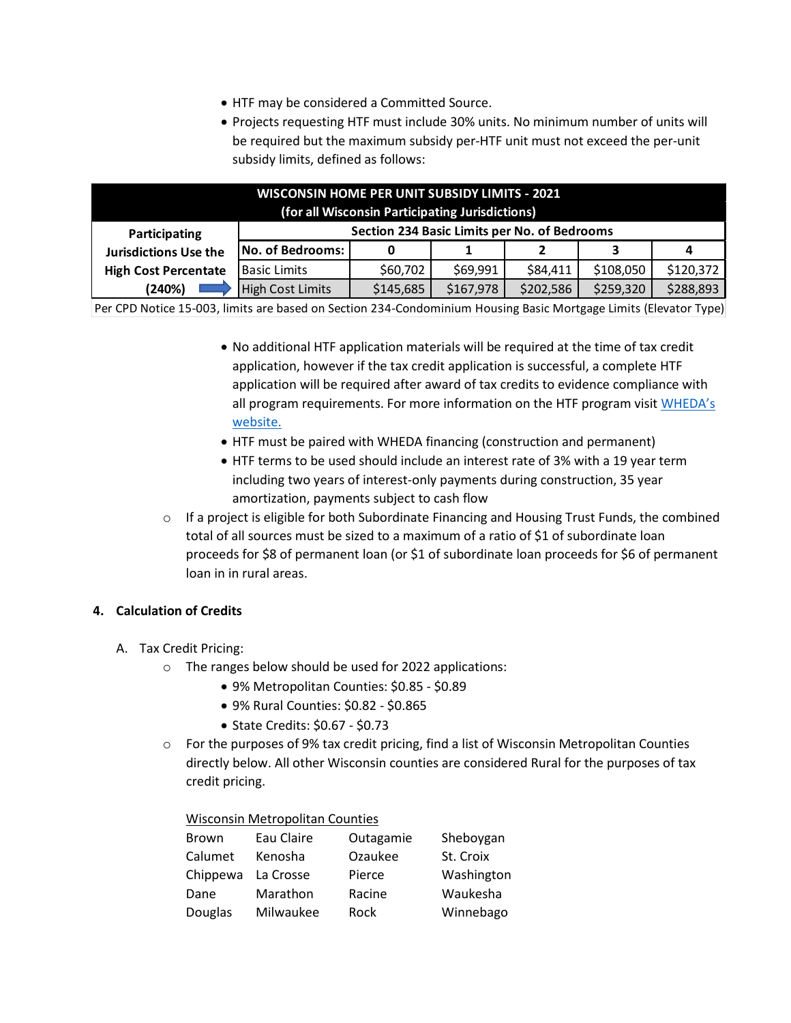- HTF may be considered a Committed Source.
- Projects requesting HTF must include 30% units. No minimum number of units will be required but the maximum subsidy per-HTF unit must not exceed the per-unit subsidy limits, defined as follows:

| <b>WISCONSIN HOME PER UNIT SUBSIDY LIMITS - 2021</b><br>(for all Wisconsin Participating Jurisdictions) |                                              |           |           |           |           |           |  |  |
|---------------------------------------------------------------------------------------------------------|----------------------------------------------|-----------|-----------|-----------|-----------|-----------|--|--|
| Participating                                                                                           | Section 234 Basic Limits per No. of Bedrooms |           |           |           |           |           |  |  |
| <b>Jurisdictions Use the</b>                                                                            | No. of Bedrooms:                             |           |           |           | 3         | 4         |  |  |
| <b>High Cost Percentate</b>                                                                             | <b>Basic Limits</b>                          | \$60,702  | \$69,991  | \$84,411  | \$108,050 | \$120,372 |  |  |
| (240%)                                                                                                  | <b>High Cost Limits</b>                      | \$145,685 | \$167,978 | \$202,586 | \$259,320 | \$288,893 |  |  |

Per CPD Notice 15-003, limits are based on Section 234-Condominium Housing Basic Mortgage Limits (Elevator Type)

- No additional HTF application materials will be required at the time of tax credit application, however if the tax credit application is successful, a complete HTF application will be required after award of tax credits to evidence compliance with all program requirements. For more information on the HTF program visi[t WHEDA's](https://www.wheda.com/developers-and-property-managers/developers/national-housing-trust-fund)  [website.](https://www.wheda.com/developers-and-property-managers/developers/national-housing-trust-fund)
- HTF must be paired with WHEDA financing (construction and permanent)
- HTF terms to be used should include an interest rate of 3% with a 19 year term including two years of interest-only payments during construction, 35 year amortization, payments subject to cash flow
- $\circ$  If a project is eligible for both Subordinate Financing and Housing Trust Funds, the combined total of all sources must be sized to a maximum of a ratio of \$1 of subordinate loan proceeds for \$8 of permanent loan (or \$1 of subordinate loan proceeds for \$6 of permanent loan in in rural areas.

#### **4. Calculation of Credits**

- A. Tax Credit Pricing:
	- o The ranges below should be used for 2022 applications:
		- 9% Metropolitan Counties: \$0.85 \$0.89
		- 9% Rural Counties: \$0.82 \$0.865
		- State Credits: \$0.67 \$0.73
	- o For the purposes of 9% tax credit pricing, find a list of Wisconsin Metropolitan Counties directly below. All other Wisconsin counties are considered Rural for the purposes of tax credit pricing.

#### Wisconsin Metropolitan Counties

| <b>Brown</b>       | Eau Claire | Outagamie | Sheboygan  |
|--------------------|------------|-----------|------------|
| Calumet            | Kenosha    | Ozaukee   | St. Croix  |
| Chippewa La Crosse |            | Pierce    | Washington |
| Dane               | Marathon   | Racine    | Waukesha   |
| Douglas            | Milwaukee  | Rock      | Winnebago  |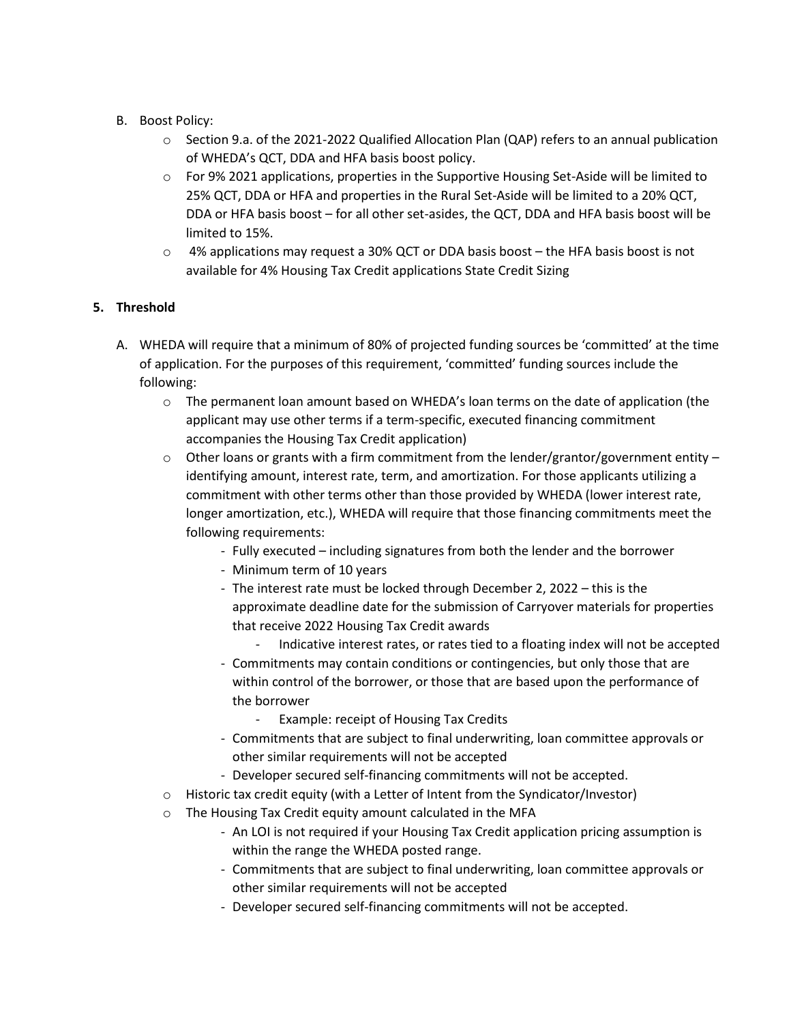- B. Boost Policy:
	- o Section 9.a. of the 2021-2022 Qualified Allocation Plan (QAP) refers to an annual publication of WHEDA's QCT, DDA and HFA basis boost policy.
	- o For 9% 2021 applications, properties in the Supportive Housing Set-Aside will be limited to 25% QCT, DDA or HFA and properties in the Rural Set-Aside will be limited to a 20% QCT, DDA or HFA basis boost – for all other set-asides, the QCT, DDA and HFA basis boost will be limited to 15%.
	- $\circ$  4% applications may request a 30% QCT or DDA basis boost the HFA basis boost is not available for 4% Housing Tax Credit applications State Credit Sizing

# **5. Threshold**

- A. WHEDA will require that a minimum of 80% of projected funding sources be 'committed' at the time of application. For the purposes of this requirement, 'committed' funding sources include the following:
	- $\circ$  The permanent loan amount based on WHEDA's loan terms on the date of application (the applicant may use other terms if a term-specific, executed financing commitment accompanies the Housing Tax Credit application)
	- $\circ$  Other loans or grants with a firm commitment from the lender/grantor/government entity identifying amount, interest rate, term, and amortization. For those applicants utilizing a commitment with other terms other than those provided by WHEDA (lower interest rate, longer amortization, etc.), WHEDA will require that those financing commitments meet the following requirements:
		- Fully executed including signatures from both the lender and the borrower
		- Minimum term of 10 years
		- The interest rate must be locked through December 2, 2022 this is the approximate deadline date for the submission of Carryover materials for properties that receive 2022 Housing Tax Credit awards
			- Indicative interest rates, or rates tied to a floating index will not be accepted
		- Commitments may contain conditions or contingencies, but only those that are within control of the borrower, or those that are based upon the performance of the borrower
			- Example: receipt of Housing Tax Credits
		- Commitments that are subject to final underwriting, loan committee approvals or other similar requirements will not be accepted
		- Developer secured self-financing commitments will not be accepted.
	- o Historic tax credit equity (with a Letter of Intent from the Syndicator/Investor)
	- o The Housing Tax Credit equity amount calculated in the MFA
		- An LOI is not required if your Housing Tax Credit application pricing assumption is within the range the WHEDA posted range.
		- Commitments that are subject to final underwriting, loan committee approvals or other similar requirements will not be accepted
		- Developer secured self-financing commitments will not be accepted.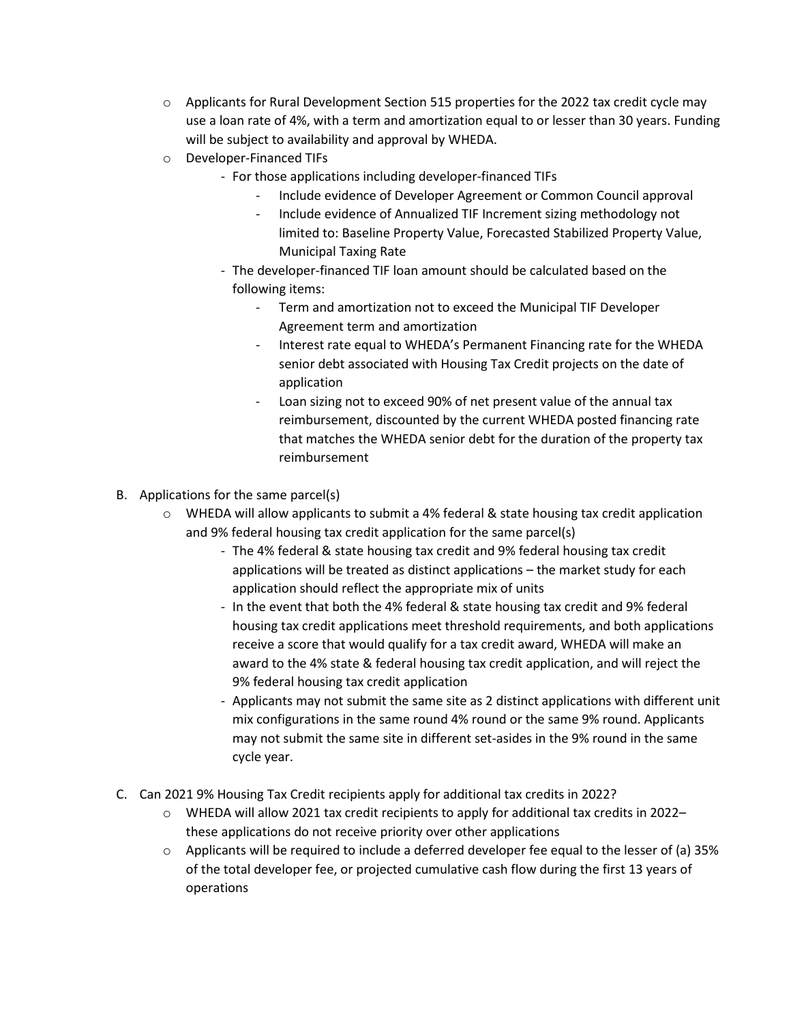- $\circ$  Applicants for Rural Development Section 515 properties for the 2022 tax credit cycle may use a loan rate of 4%, with a term and amortization equal to or lesser than 30 years. Funding will be subject to availability and approval by WHEDA.
- o Developer-Financed TIFs
	- For those applications including developer-financed TIFs
		- Include evidence of Developer Agreement or Common Council approval
		- Include evidence of Annualized TIF Increment sizing methodology not limited to: Baseline Property Value, Forecasted Stabilized Property Value, Municipal Taxing Rate
	- The developer-financed TIF loan amount should be calculated based on the following items:
		- Term and amortization not to exceed the Municipal TIF Developer Agreement term and amortization
		- Interest rate equal to WHEDA's Permanent Financing rate for the WHEDA senior debt associated with Housing Tax Credit projects on the date of application
		- Loan sizing not to exceed 90% of net present value of the annual tax reimbursement, discounted by the current WHEDA posted financing rate that matches the WHEDA senior debt for the duration of the property tax reimbursement
- B. Applications for the same parcel(s)
	- $\circ$  WHEDA will allow applicants to submit a 4% federal & state housing tax credit application and 9% federal housing tax credit application for the same parcel(s)
		- The 4% federal & state housing tax credit and 9% federal housing tax credit applications will be treated as distinct applications – the market study for each application should reflect the appropriate mix of units
		- In the event that both the 4% federal & state housing tax credit and 9% federal housing tax credit applications meet threshold requirements, and both applications receive a score that would qualify for a tax credit award, WHEDA will make an award to the 4% state & federal housing tax credit application, and will reject the 9% federal housing tax credit application
		- Applicants may not submit the same site as 2 distinct applications with different unit mix configurations in the same round 4% round or the same 9% round. Applicants may not submit the same site in different set-asides in the 9% round in the same cycle year.
- C. Can 2021 9% Housing Tax Credit recipients apply for additional tax credits in 2022?
	- o WHEDA will allow 2021 tax credit recipients to apply for additional tax credits in 2022– these applications do not receive priority over other applications
	- $\circ$  Applicants will be required to include a deferred developer fee equal to the lesser of (a) 35% of the total developer fee, or projected cumulative cash flow during the first 13 years of operations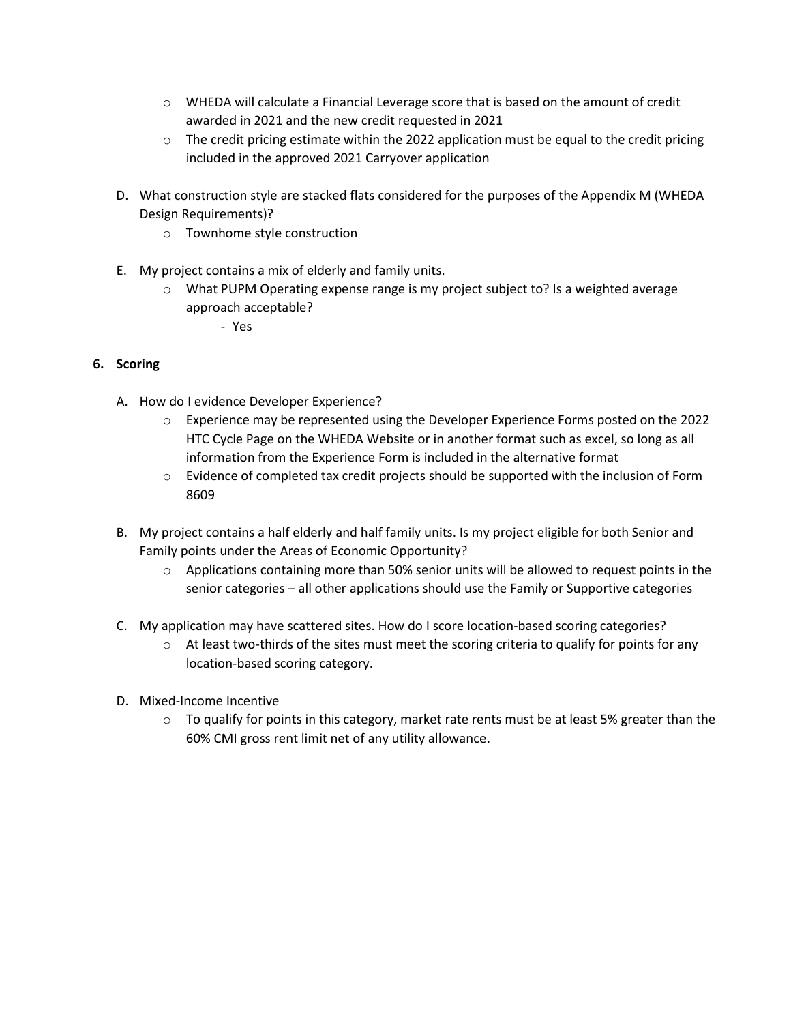- $\circ$  WHEDA will calculate a Financial Leverage score that is based on the amount of credit awarded in 2021 and the new credit requested in 2021
- $\circ$  The credit pricing estimate within the 2022 application must be equal to the credit pricing included in the approved 2021 Carryover application
- D. What construction style are stacked flats considered for the purposes of the Appendix M (WHEDA Design Requirements)?
	- o Townhome style construction
- E. My project contains a mix of elderly and family units.
	- $\circ$  What PUPM Operating expense range is my project subject to? Is a weighted average approach acceptable?
		- Yes

# **6. Scoring**

- A. How do I evidence Developer Experience?
	- o Experience may be represented using the Developer Experience Forms posted on the 2022 HTC Cycle Page on the WHEDA Website or in another format such as excel, so long as all information from the Experience Form is included in the alternative format
	- o Evidence of completed tax credit projects should be supported with the inclusion of Form 8609
- B. My project contains a half elderly and half family units. Is my project eligible for both Senior and Family points under the Areas of Economic Opportunity?
	- $\circ$  Applications containing more than 50% senior units will be allowed to request points in the senior categories – all other applications should use the Family or Supportive categories
- C. My application may have scattered sites. How do I score location-based scoring categories?
	- $\circ$  At least two-thirds of the sites must meet the scoring criteria to qualify for points for any location-based scoring category.
- D. Mixed-Income Incentive
	- $\circ$  To qualify for points in this category, market rate rents must be at least 5% greater than the 60% CMI gross rent limit net of any utility allowance.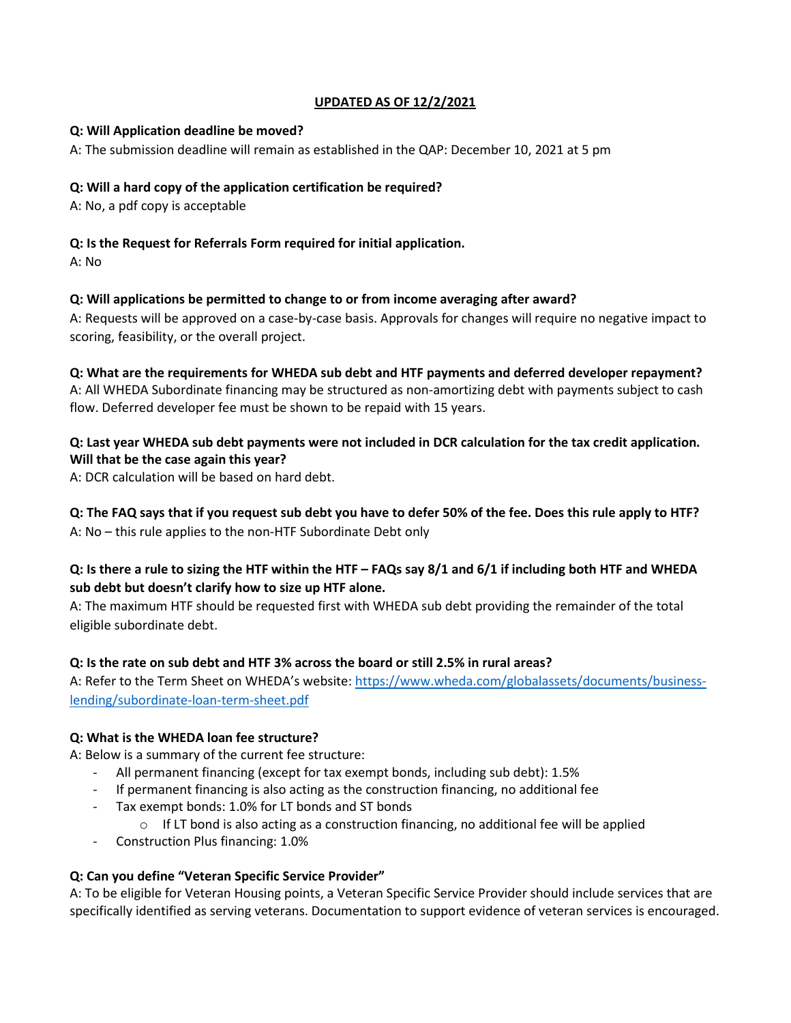### **UPDATED AS OF 12/2/2021**

#### **Q: Will Application deadline be moved?**

A: The submission deadline will remain as established in the QAP: December 10, 2021 at 5 pm

# **Q: Will a hard copy of the application certification be required?**

A: No, a pdf copy is acceptable

### **Q: Is the Request for Referrals Form required for initial application.**

A: No

#### **Q: Will applications be permitted to change to or from income averaging after award?**

A: Requests will be approved on a case-by-case basis. Approvals for changes will require no negative impact to scoring, feasibility, or the overall project.

**Q: What are the requirements for WHEDA sub debt and HTF payments and deferred developer repayment?** 

A: All WHEDA Subordinate financing may be structured as non-amortizing debt with payments subject to cash flow. Deferred developer fee must be shown to be repaid with 15 years.

# **Q: Last year WHEDA sub debt payments were not included in DCR calculation for the tax credit application. Will that be the case again this year?**

A: DCR calculation will be based on hard debt.

**Q: The FAQ says that if you request sub debt you have to defer 50% of the fee. Does this rule apply to HTF?** A: No – this rule applies to the non-HTF Subordinate Debt only

# **Q: Is there a rule to sizing the HTF within the HTF – FAQs say 8/1 and 6/1 if including both HTF and WHEDA sub debt but doesn't clarify how to size up HTF alone.**

A: The maximum HTF should be requested first with WHEDA sub debt providing the remainder of the total eligible subordinate debt.

# **Q: Is the rate on sub debt and HTF 3% across the board or still 2.5% in rural areas?**

A: Refer to the Term Sheet on WHEDA's website: [https://www.wheda.com/globalassets/documents/business](https://www.wheda.com/globalassets/documents/business-lending/subordinate-loan-term-sheet.pdf)[lending/subordinate-loan-term-sheet.pdf](https://www.wheda.com/globalassets/documents/business-lending/subordinate-loan-term-sheet.pdf)

# **Q: What is the WHEDA loan fee structure?**

A: Below is a summary of the current fee structure:

- All permanent financing (except for tax exempt bonds, including sub debt): 1.5%
- If permanent financing is also acting as the construction financing, no additional fee
- Tax exempt bonds: 1.0% for LT bonds and ST bonds
	- $\circ$  If LT bond is also acting as a construction financing, no additional fee will be applied
- Construction Plus financing: 1.0%

#### **Q: Can you define "Veteran Specific Service Provider"**

A: To be eligible for Veteran Housing points, a Veteran Specific Service Provider should include services that are specifically identified as serving veterans. Documentation to support evidence of veteran services is encouraged.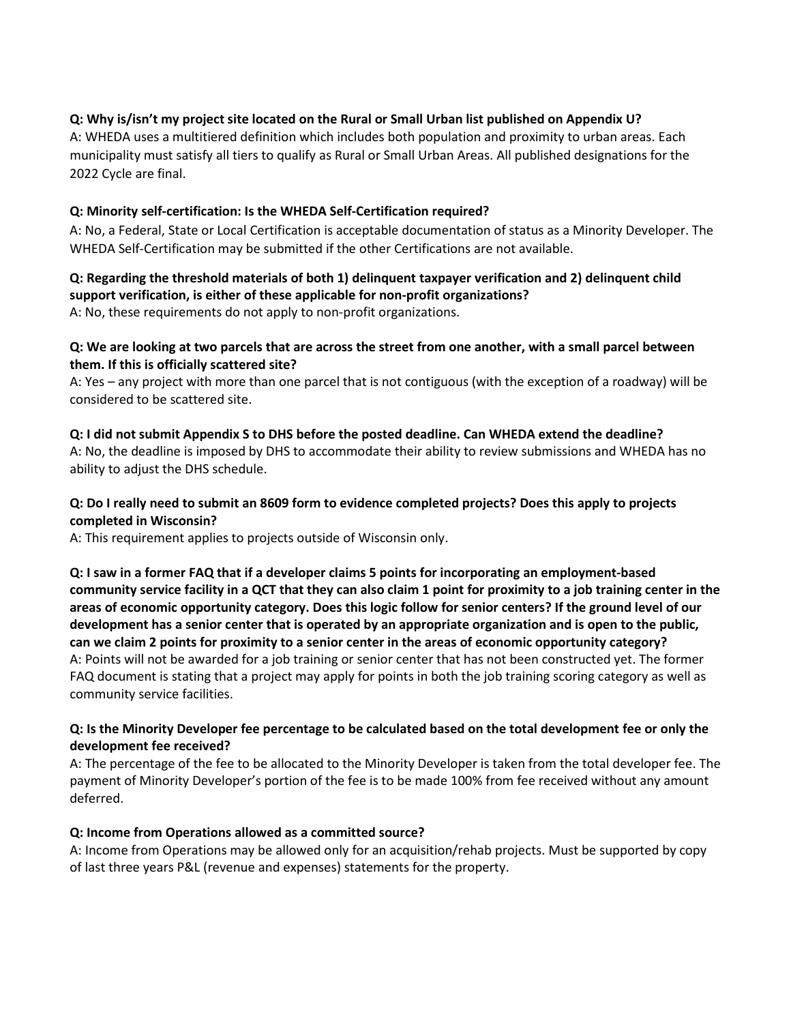### **Q: Why is/isn't my project site located on the Rural or Small Urban list published on Appendix U?**

A: WHEDA uses a multitiered definition which includes both population and proximity to urban areas. Each municipality must satisfy all tiers to qualify as Rural or Small Urban Areas. All published designations for the 2022 Cycle are final.

#### **Q: Minority self-certification: Is the WHEDA Self-Certification required?**

A: No, a Federal, State or Local Certification is acceptable documentation of status as a Minority Developer. The WHEDA Self-Certification may be submitted if the other Certifications are not available.

# **Q: Regarding the threshold materials of both 1) delinquent taxpayer verification and 2) delinquent child support verification, is either of these applicable for non-profit organizations?**

A: No, these requirements do not apply to non-profit organizations.

### **Q: We are looking at two parcels that are across the street from one another, with a small parcel between them. If this is officially scattered site?**

A: Yes – any project with more than one parcel that is not contiguous (with the exception of a roadway) will be considered to be scattered site.

#### **Q: I did not submit Appendix S to DHS before the posted deadline. Can WHEDA extend the deadline?**

A: No, the deadline is imposed by DHS to accommodate their ability to review submissions and WHEDA has no ability to adjust the DHS schedule.

# **Q: Do I really need to submit an 8609 form to evidence completed projects? Does this apply to projects completed in Wisconsin?**

A: This requirement applies to projects outside of Wisconsin only.

**Q: I saw in a former FAQ that if a developer claims 5 points for incorporating an employment-based community service facility in a QCT that they can also claim 1 point for proximity to a job training center in the areas of economic opportunity category. Does this logic follow for senior centers? If the ground level of our development has a senior center that is operated by an appropriate organization and is open to the public, can we claim 2 points for proximity to a senior center in the areas of economic opportunity category?** A: Points will not be awarded for a job training or senior center that has not been constructed yet. The former FAQ document is stating that a project may apply for points in both the job training scoring category as well as community service facilities.

#### **Q: Is the Minority Developer fee percentage to be calculated based on the total development fee or only the development fee received?**

A: The percentage of the fee to be allocated to the Minority Developer is taken from the total developer fee. The payment of Minority Developer's portion of the fee is to be made 100% from fee received without any amount deferred.

#### **Q: Income from Operations allowed as a committed source?**

A: Income from Operations may be allowed only for an acquisition/rehab projects. Must be supported by copy of last three years P&L (revenue and expenses) statements for the property.